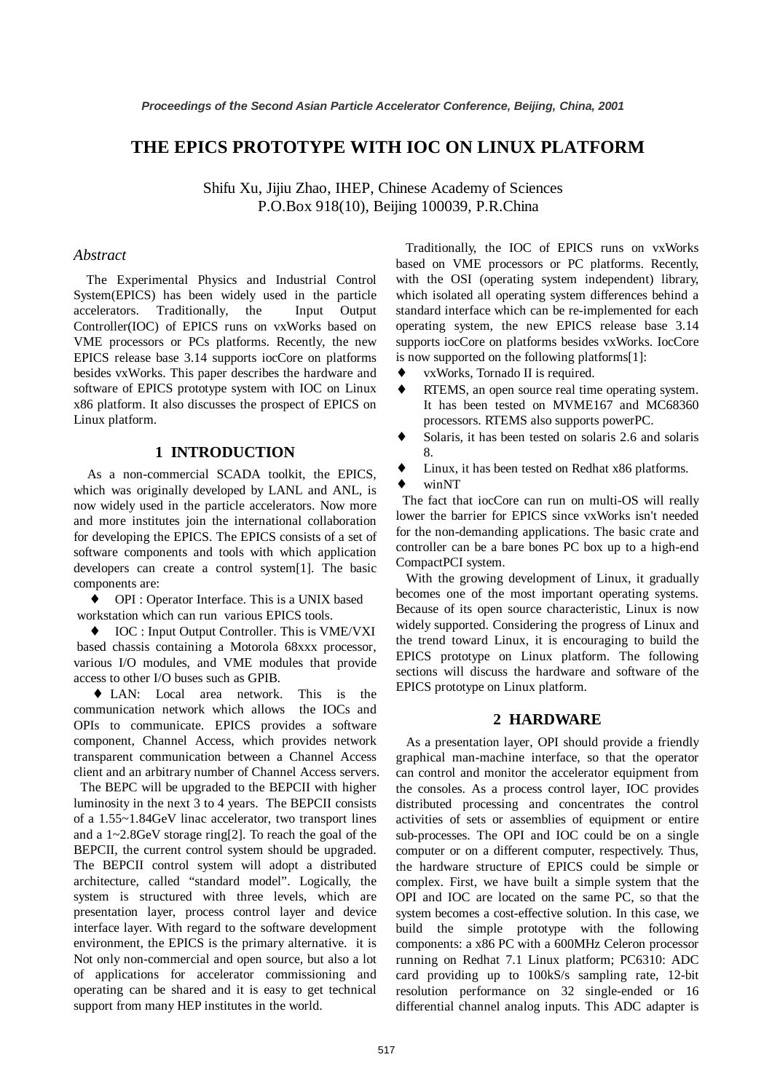# **THE EPICS PROTOTYPE WITH IOC ON LINUX PLATFORM**

Shifu Xu, Jijiu Zhao, IHEP, Chinese Academy of Sciences P.O.Box 918(10), Beijing 100039, P.R.China

#### *Abstract*

The Experimental Physics and Industrial Control System(EPICS) has been widely used in the particle accelerators. Traditionally, the Input Output Controller(IOC) of EPICS runs on vxWorks based on VME processors or PCs platforms. Recently, the new EPICS release base 3.14 supports iocCore on platforms besides vxWorks. This paper describes the hardware and software of EPICS prototype system with IOC on Linux x86 platform. It also discusses the prospect of EPICS on Linux platform.

## **1 INTRODUCTION**

As a non-commercial SCADA toolkit, the EPICS, which was originally developed by LANL and ANL, is now widely used in the particle accelerators. Now more and more institutes join the international collaboration for developing the EPICS. The EPICS consists of a set of software components and tools with which application developers can create a control system[1]. The basic components are:

♦ OPI : Operator Interface. This is a UNIX based workstation which can run various EPICS tools.

♦ IOC : Input Output Controller. This is VME/VXI based chassis containing a Motorola 68xxx processor, various I/O modules, and VME modules that provide access to other I/O buses such as GPIB.

♦ LAN: Local area network. This is the communication network which allows the IOCs and OPIs to communicate. EPICS provides a software component, Channel Access, which provides network transparent communication between a Channel Access client and an arbitrary number of Channel Access servers.

The BEPC will be upgraded to the BEPCII with higher luminosity in the next 3 to 4 years. The BEPCII consists of a 1.55~1.84GeV linac accelerator, two transport lines and a 1~2.8GeV storage ring[2]. To reach the goal of the BEPCII, the current control system should be upgraded. The BEPCII control system will adopt a distributed architecture, called "standard model". Logically, the system is structured with three levels, which are presentation layer, process control layer and device interface layer. With regard to the software development environment, the EPICS is the primary alternative. it is Not only non-commercial and open source, but also a lot of applications for accelerator commissioning and operating can be shared and it is easy to get technical support from many HEP institutes in the world.

Traditionally, the IOC of EPICS runs on vxWorks based on VME processors or PC platforms. Recently, with the OSI (operating system independent) library, which isolated all operating system differences behind a standard interface which can be re-implemented for each operating system, the new EPICS release base 3.14 supports iocCore on platforms besides vxWorks. IocCore is now supported on the following platforms[1]:

- ♦ vxWorks, Tornado II is required.
- RTEMS, an open source real time operating system. It has been tested on MVME167 and MC68360 processors. RTEMS also supports powerPC.
- Solaris, it has been tested on solaris 2.6 and solaris 8.
- Linux, it has been tested on Redhat x86 platforms.
- winNT

The fact that iocCore can run on multi-OS will really lower the barrier for EPICS since vxWorks isn't needed for the non-demanding applications. The basic crate and controller can be a bare bones PC box up to a high-end CompactPCI system.

With the growing development of Linux, it gradually becomes one of the most important operating systems. Because of its open source characteristic, Linux is now widely supported. Considering the progress of Linux and the trend toward Linux, it is encouraging to build the EPICS prototype on Linux platform. The following sections will discuss the hardware and software of the EPICS prototype on Linux platform.

#### **2 HARDWARE**

As a presentation layer, OPI should provide a friendly graphical man-machine interface, so that the operator can control and monitor the accelerator equipment from the consoles. As a process control layer, IOC provides distributed processing and concentrates the control activities of sets or assemblies of equipment or entire sub-processes. The OPI and IOC could be on a single computer or on a different computer, respectively. Thus, the hardware structure of EPICS could be simple or complex. First, we have built a simple system that the OPI and IOC are located on the same PC, so that the system becomes a cost-effective solution. In this case, we build the simple prototype with the following components: a x86 PC with a 600MHz Celeron processor running on Redhat 7.1 Linux platform; PC6310: ADC card providing up to 100kS/s sampling rate, 12-bit resolution performance on 32 single-ended or 16 differential channel analog inputs. This ADC adapter is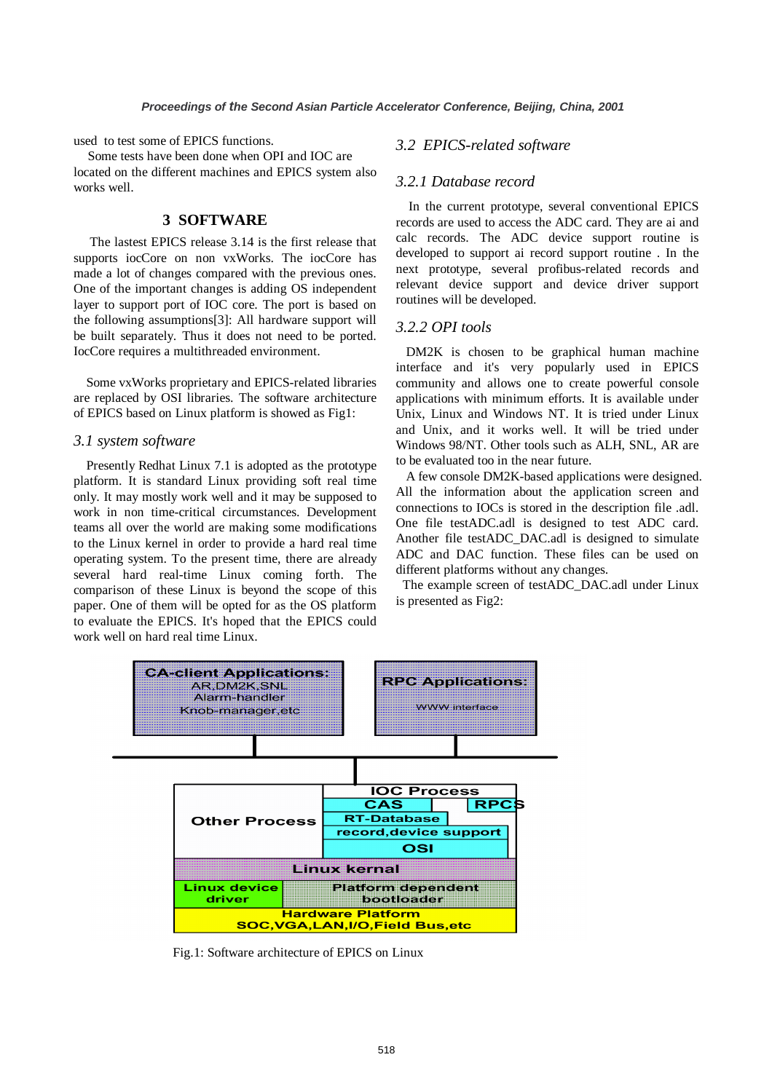used to test some of EPICS functions.

Some tests have been done when OPI and IOC are located on the different machines and EPICS system also works well.

## **3 SOFTWARE**

The lastest EPICS release 3.14 is the first release that supports iocCore on non vxWorks. The iocCore has made a lot of changes compared with the previous ones. One of the important changes is adding OS independent layer to support port of IOC core. The port is based on the following assumptions[3]: All hardware support will be built separately. Thus it does not need to be ported. IocCore requires a multithreaded environment.

Some vxWorks proprietary and EPICS-related libraries are replaced by OSI libraries. The software architecture of EPICS based on Linux platform is showed as Fig1:

#### *3.1 system software*

Presently Redhat Linux 7.1 is adopted as the prototype platform. It is standard Linux providing soft real time only. It may mostly work well and it may be supposed to work in non time-critical circumstances. Development teams all over the world are making some modifications to the Linux kernel in order to provide a hard real time operating system. To the present time, there are already several hard real-time Linux coming forth. The comparison of these Linux is beyond the scope of this paper. One of them will be opted for as the OS platform to evaluate the EPICS. It's hoped that the EPICS could work well on hard real time Linux.

#### *3.2 EPICS-related software*

#### *3.2.1 Database record*

In the current prototype, several conventional EPICS records are used to access the ADC card. They are ai and calc records. The ADC device support routine is developed to support ai record support routine . In the next prototype, several profibus-related records and relevant device support and device driver support routines will be developed.

#### *3.2.2 OPI tools*

DM2K is chosen to be graphical human machine interface and it's very popularly used in EPICS community and allows one to create powerful console applications with minimum efforts. It is available under Unix, Linux and Windows NT. It is tried under Linux and Unix, and it works well. It will be tried under Windows 98/NT. Other tools such as ALH, SNL, AR are to be evaluated too in the near future.

A few console DM2K-based applications were designed. All the information about the application screen and connections to IOCs is stored in the description file .adl. One file testADC.adl is designed to test ADC card. Another file testADC\_DAC.adl is designed to simulate ADC and DAC function. These files can be used on different platforms without any changes.

The example screen of testADC\_DAC.adl under Linux is presented as Fig2:



Fig.1: Software architecture of EPICS on Linux